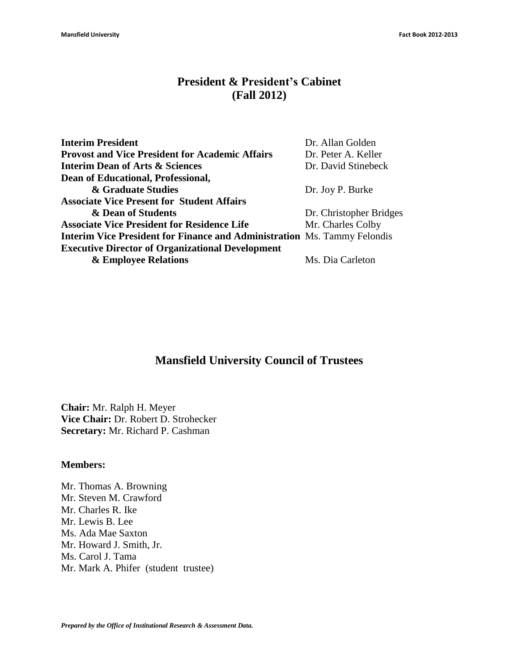#### **President & President's Cabinet (Fall 2012)**

| <b>Interim President</b>                                                        | Dr. Allan Golden        |
|---------------------------------------------------------------------------------|-------------------------|
| <b>Provost and Vice President for Academic Affairs</b>                          | Dr. Peter A. Keller     |
| <b>Interim Dean of Arts &amp; Sciences</b>                                      | Dr. David Stinebeck     |
| Dean of Educational, Professional,                                              |                         |
| & Graduate Studies                                                              | Dr. Joy P. Burke        |
| <b>Associate Vice Present for Student Affairs</b>                               |                         |
| & Dean of Students                                                              | Dr. Christopher Bridges |
| <b>Associate Vice President for Residence Life</b>                              | Mr. Charles Colby       |
| <b>Interim Vice President for Finance and Administration Ms. Tammy Felondis</b> |                         |
| <b>Executive Director of Organizational Development</b>                         |                         |
| & Employee Relations                                                            | Ms. Dia Carleton        |
|                                                                                 |                         |

### **Mansfield University Council of Trustees**

**Chair:** Mr. Ralph H. Meyer **Vice Chair:** Dr. Robert D. Strohecker **Secretary:** Mr. Richard P. Cashman

#### **Members:**

Mr. Thomas A. Browning Mr. Steven M. Crawford Mr. Charles R. Ike Mr. Lewis B. Lee Ms. Ada Mae Saxton Mr. Howard J. Smith, Jr. Ms. Carol J. Tama Mr. Mark A. Phifer (student trustee)

*Prepared by the Office of Institutional Research & Assessment Data.*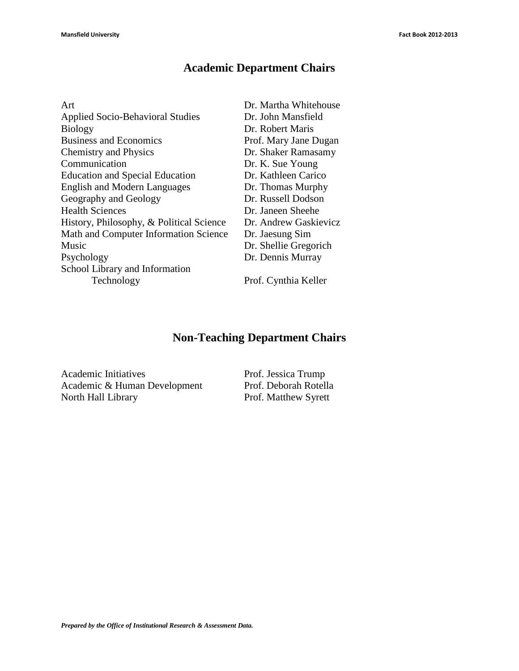# **Academic Department Chairs**

| Art                                      | Dr. Martha Whitehouse |
|------------------------------------------|-----------------------|
| <b>Applied Socio-Behavioral Studies</b>  | Dr. John Mansfield    |
| <b>Biology</b>                           | Dr. Robert Maris      |
| <b>Business and Economics</b>            | Prof. Mary Jane Dugan |
| <b>Chemistry and Physics</b>             | Dr. Shaker Ramasamy   |
| Communication                            | Dr. K. Sue Young      |
| <b>Education and Special Education</b>   | Dr. Kathleen Carico   |
| <b>English and Modern Languages</b>      | Dr. Thomas Murphy     |
| Geography and Geology                    | Dr. Russell Dodson    |
| <b>Health Sciences</b>                   | Dr. Janeen Sheehe     |
| History, Philosophy, & Political Science | Dr. Andrew Gaskievicz |
| Math and Computer Information Science    | Dr. Jaesung Sim       |
| Music                                    | Dr. Shellie Gregorich |
| Psychology                               | Dr. Dennis Murray     |
| School Library and Information           |                       |
| Technology                               | Prof. Cynthia Keller  |
|                                          |                       |

# **Non-Teaching Department Chairs**

Academic Initiatives Prof. Jessica Trump Academic & Human Development Prof. Deborah Rotella<br>North Hall Library Prof. Matthew Syrett

Prof. Matthew Syrett